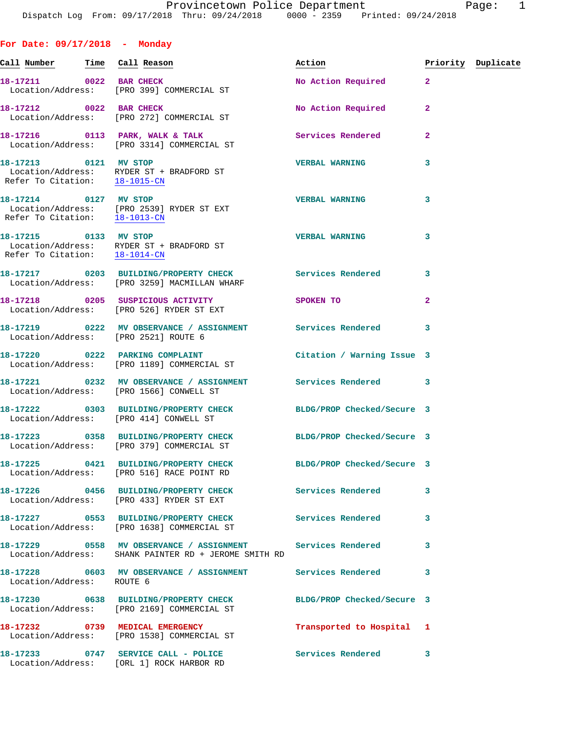**For Date: 09/17/2018 - Monday Call Number Time Call Reason Action Priority Duplicate** 18-17211 0022 BAR CHECK No Action Required 2 Location/Address: [PRO 399] COMMERCIAL ST **18-17212 0022 BAR CHECK No Action Required 2**  Location/Address: [PRO 272] COMMERCIAL ST **18-17216 0113 PARK, WALK & TALK Services Rendered 2**  Location/Address: [PRO 3314] COMMERCIAL ST **18-17213 0121 MV STOP VERBAL WARNING 3**  Location/Address: RYDER ST + BRADFORD ST Refer To Citation: 18-1015-CN **18-17214 0127 MV STOP VERBAL WARNING 3**  Location/Address: [PRO 2539] RYDER ST EXT Refer To Citation: 18-1013-CN **18-17215 0133 MV STOP VERBAL WARNING 3**  Location/Address: RYDER ST + BRADFORD ST Refer To Citation: 18-1014-CN **18-17217 0203 BUILDING/PROPERTY CHECK Services Rendered 3**  Location/Address: [PRO 3259] MACMILLAN WHARF **18-17218 0205 SUSPICIOUS ACTIVITY SPOKEN TO 2**  Location/Address: [PRO 526] RYDER ST EXT **18-17219 0222 MV OBSERVANCE / ASSIGNMENT Services Rendered 3**  Location/Address: [PRO 2521] ROUTE 6 **18-17220 0222 PARKING COMPLAINT Citation / Warning Issue 3**  Location/Address: [PRO 1189] COMMERCIAL ST **18-17221 0232 MV OBSERVANCE / ASSIGNMENT Services Rendered 3**  Location/Address: [PRO 1566] CONWELL ST **18-17222 0303 BUILDING/PROPERTY CHECK BLDG/PROP Checked/Secure 3**  Location/Address: [PRO 414] CONWELL ST **18-17223 0358 BUILDING/PROPERTY CHECK BLDG/PROP Checked/Secure 3**  Location/Address: [PRO 379] COMMERCIAL ST **18-17225 0421 BUILDING/PROPERTY CHECK BLDG/PROP Checked/Secure 3**  Location/Address: [PRO 516] RACE POINT RD **18-17226 0456 BUILDING/PROPERTY CHECK Services Rendered 3**  Location/Address: [PRO 433] RYDER ST EXT **18-17227 0553 BUILDING/PROPERTY CHECK Services Rendered 3**  Location/Address: [PRO 1638] COMMERCIAL ST **18-17229 0558 MV OBSERVANCE / ASSIGNMENT Services Rendered 3**  Location/Address: SHANK PAINTER RD + JEROME SMITH RD

**18-17228 0603 MV OBSERVANCE / ASSIGNMENT Services Rendered 3**  Location/Address: ROUTE 6 **18-17230 0638 BUILDING/PROPERTY CHECK BLDG/PROP Checked/Secure 3**  Location/Address: [PRO 2169] COMMERCIAL ST **18-17232 0739 MEDICAL EMERGENCY Transported to Hospital 1**  Location/Address: [PRO 1538] COMMERCIAL ST 18-17233 0747 SERVICE CALL - POLICE 3 Services Rendered 3

Location/Address: [ORL 1] ROCK HARBOR RD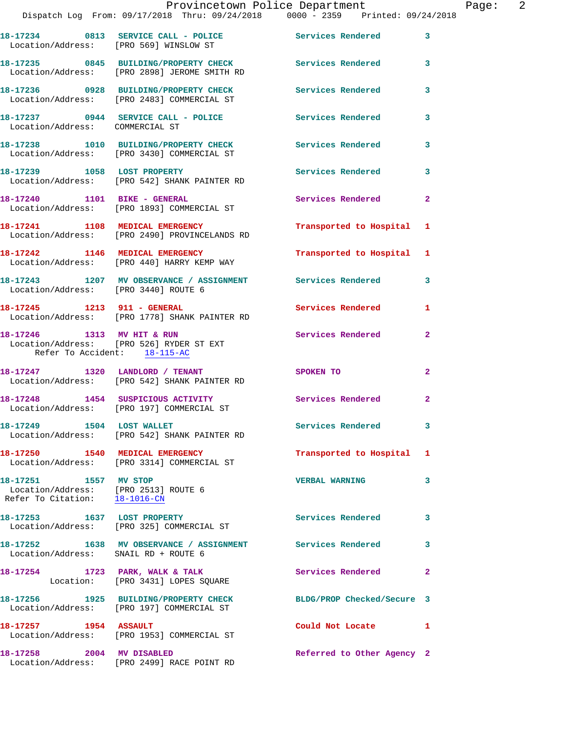|                                                                                                | Provincetown Police Department<br>Dispatch Log From: 09/17/2018 Thru: 09/24/2018   0000 - 2359   Printed: 09/24/2018 |                            | Page: 2        |
|------------------------------------------------------------------------------------------------|----------------------------------------------------------------------------------------------------------------------|----------------------------|----------------|
|                                                                                                | 18-17234 0813 SERVICE CALL - POLICE Services Rendered<br>Location/Address: [PRO 569] WINSLOW ST                      |                            | 3              |
|                                                                                                | 18-17235 0845 BUILDING/PROPERTY CHECK Services Rendered<br>Location/Address: [PRO 2898] JEROME SMITH RD              |                            | 3              |
|                                                                                                | 18-17236 0928 BUILDING/PROPERTY CHECK Services Rendered<br>Location/Address: [PRO 2483] COMMERCIAL ST                |                            | 3              |
|                                                                                                |                                                                                                                      |                            | 3              |
|                                                                                                | 18-17238 1010 BUILDING/PROPERTY CHECK Services Rendered<br>Location/Address: [PRO 3430] COMMERCIAL ST                |                            | 3              |
|                                                                                                | 18-17239 1058 LOST PROPERTY<br>Location/Address: [PRO 542] SHANK PAINTER RD                                          | Services Rendered 3        |                |
|                                                                                                | 18-17240 1101 BIKE - GENERAL<br>Location/Address: [PRO 1893] COMMERCIAL ST                                           | Services Rendered          | $\overline{2}$ |
|                                                                                                | 18-17241 1108 MEDICAL EMERGENCY<br>Location/Address: [PRO 2490] PROVINCELANDS RD                                     | Transported to Hospital 1  |                |
|                                                                                                | 18-17242 1146 MEDICAL EMERGENCY<br>Location/Address: [PRO 440] HARRY KEMP WAY                                        | Transported to Hospital 1  |                |
| Location/Address: [PRO 3440] ROUTE 6                                                           | 18-17243 1207 MV OBSERVANCE / ASSIGNMENT Services Rendered 3                                                         |                            |                |
|                                                                                                | 18-17245    1213    911 - GENERAL<br>Location/Address: [PRO 1778] SHANK PAINTER RD                                   | Services Rendered          | 1              |
| Refer To Accident: 18-115-AC                                                                   | 18-17246 1313 MV HIT & RUN<br>Location/Address: [PRO 526] RYDER ST EXT                                               | Services Rendered          | $\overline{a}$ |
|                                                                                                | 18-17247 1320 LANDLORD / TENANT<br>Location/Address: [PRO 542] SHANK PAINTER RD                                      | SPOKEN TO                  | $\overline{2}$ |
|                                                                                                | 18-17248 1454 SUSPICIOUS ACTIVITY<br>Location/Address: [PRO 197] COMMERCIAL ST                                       | Services Rendered          | $\overline{2}$ |
|                                                                                                | 18-17249 1504 LOST WALLET<br>Location/Address: [PRO 542] SHANK PAINTER RD                                            | <b>Services Rendered</b>   | 3              |
|                                                                                                | 18-17250 1540 MEDICAL EMERGENCY<br>Location/Address: [PRO 3314] COMMERCIAL ST                                        | Transported to Hospital 1  |                |
| 18-17251 1557 MV STOP<br>Location/Address: [PRO 2513] ROUTE 6<br>Refer To Citation: 18-1016-CN |                                                                                                                      | <b>VERBAL WARNING</b>      | 3              |
|                                                                                                | 18-17253 1637 LOST PROPERTY<br>Location/Address: [PRO 325] COMMERCIAL ST                                             | Services Rendered          | 3              |
| Location/Address: SNAIL RD + ROUTE 6                                                           | 18-17252 1638 MV OBSERVANCE / ASSIGNMENT Services Rendered                                                           |                            | 3              |
|                                                                                                | 18-17254 1723 PARK, WALK & TALK<br>Location: [PRO 3431] LOPES SQUARE                                                 | Services Rendered          | $\mathbf{2}$   |
|                                                                                                | 18-17256 1925 BUILDING/PROPERTY CHECK<br>Location/Address: [PRO 197] COMMERCIAL ST                                   | BLDG/PROP Checked/Secure 3 |                |
| 18-17257 1954 ASSAULT                                                                          | Location/Address: [PRO 1953] COMMERCIAL ST                                                                           | Could Not Locate 1         |                |
| 18-17258 2004 MV DISABLED                                                                      |                                                                                                                      | Referred to Other Agency 2 |                |

Location/Address: [PRO 2499] RACE POINT RD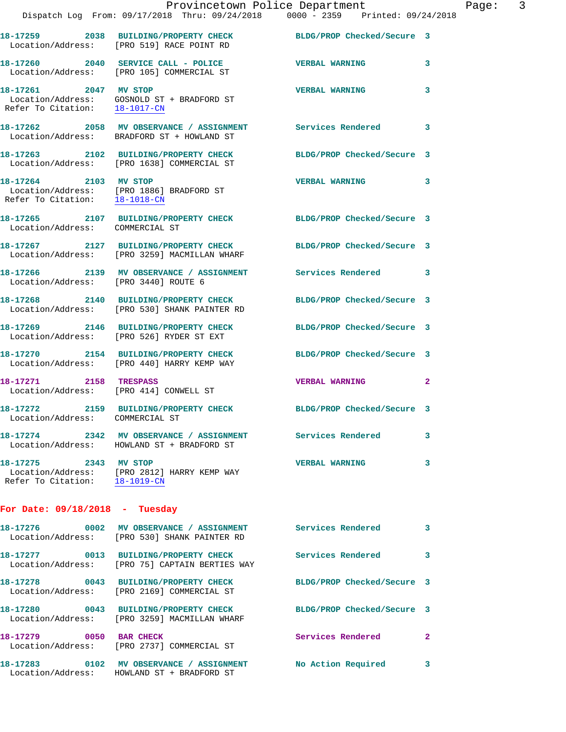Location/Address: BRADFORD ST + HOWLAND ST **18-17263 2102 BUILDING/PROPERTY CHECK BLDG/PROP Checked/Secure 3**  Location/Address: [PRO 1638] COMMERCIAL ST **18-17264 2103 MV STOP VERBAL WARNING 3**  Location/Address: [PRO 1886] BRADFORD ST Refer To Citation: 18-1018-CN

**18-17265 2107 BUILDING/PROPERTY CHECK BLDG/PROP Checked/Secure 3**  Location/Address: COMMERCIAL ST

**18-17267 2127 BUILDING/PROPERTY CHECK BLDG/PROP Checked/Secure 3**  Location/Address: [PRO 3259] MACMILLAN WHARF

18-17266 2139 MV OBSERVANCE / ASSIGNMENT Services Rendered 3 Location/Address: [PRO 3440] ROUTE 6

**18-17268 2140 BUILDING/PROPERTY CHECK BLDG/PROP Checked/Secure 3**  Location/Address: [PRO 530] SHANK PAINTER RD

**18-17269 2146 BUILDING/PROPERTY CHECK BLDG/PROP Checked/Secure 3**  Location/Address: [PRO 526] RYDER ST EXT

**18-17270 2154 BUILDING/PROPERTY CHECK BLDG/PROP Checked/Secure 3**  Location/Address: [PRO 440] HARRY KEMP WAY

**18-17271 2158 TRESPASS VERBAL WARNING 2**  Location/Address: [PRO 414] CONWELL ST

**18-17272 2159 BUILDING/PROPERTY CHECK BLDG/PROP Checked/Secure 3** 

Location/Address: COMMERCIAL ST

**18-17274 2342 MV OBSERVANCE / ASSIGNMENT Services Rendered 3**  Location/Address: HOWLAND ST + BRADFORD ST

**18-17275 2343 MV STOP VERBAL WARNING 3**  Location/Address: [PRO 2812] HARRY KEMP WAY Refer To Citation: 18-1019-CN

**For Date: 09/18/2018 - Tuesday**

| 18-17276<br>0002<br>Location/Address: | MV OBSERVANCE / ASSIGNMENT<br>[PRO 530] SHANK PAINTER RD     | Services Rendered          | $\overline{\mathbf{3}}$ |
|---------------------------------------|--------------------------------------------------------------|----------------------------|-------------------------|
| 18-17277<br>Location/Address:         | 0013 BUILDING/PROPERTY CHECK<br>[PRO 75] CAPTAIN BERTIES WAY | Services Rendered          | 3                       |
| 18-17278<br>0043<br>Location/Address: | <b>BUILDING/PROPERTY CHECK</b><br>[PRO 2169] COMMERCIAL ST   | BLDG/PROP Checked/Secure 3 |                         |
| 18-17280<br>0043<br>Location/Address: | BUILDING/PROPERTY CHECK<br>[PRO 3259] MACMILLAN WHARF        | BLDG/PROP Checked/Secure 3 |                         |
| 18-17279<br>0050<br>Location/Address: | <b>BAR CHECK</b><br>[PRO 2737] COMMERCIAL ST                 | Services Rendered          | $\mathbf{2}$            |
| 18-17283<br>0102<br>Location/Address: | MV OBSERVANCE / ASSIGNMENT<br>HOWLAND ST + BRADFORD ST       | No Action Required         | 3                       |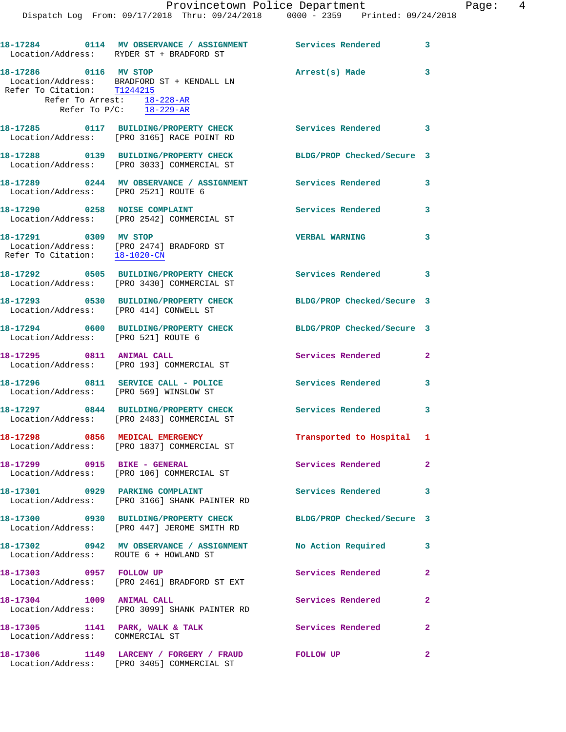Provincetown Police Department Page: 4 Dispatch Log From: 09/17/2018 Thru: 09/24/2018 0000 - 2359 Printed: 09/24/2018 **18-17284 0114 MV OBSERVANCE / ASSIGNMENT Services Rendered 3**  Location/Address: RYDER ST + BRADFORD ST **18-17286 0116 MV STOP Arrest(s) Made 3**  Location/Address: BRADFORD ST + KENDALL LN Refer To Citation: T1244215 Refer To Arrest: 18-228-AR Refer To P/C: 18-229-AR **18-17285 0117 BUILDING/PROPERTY CHECK Services Rendered 3**  Location/Address: [PRO 3165] RACE POINT RD **18-17288 0139 BUILDING/PROPERTY CHECK BLDG/PROP Checked/Secure 3**  Location/Address: [PRO 3033] COMMERCIAL ST **18-17289 0244 MV OBSERVANCE / ASSIGNMENT Services Rendered 3**  Location/Address: [PRO 2521] ROUTE 6 18-17290 0258 NOISE COMPLAINT **Services Rendered** 3 Location/Address: [PRO 2542] COMMERCIAL ST **18-17291 0309 MV STOP VERBAL WARNING 3**  Location/Address: [PRO 2474] BRADFORD ST Refer To Citation: 18-1020-CN **18-17292 0505 BUILDING/PROPERTY CHECK Services Rendered 3**  Location/Address: [PRO 3430] COMMERCIAL ST **18-17293 0530 BUILDING/PROPERTY CHECK BLDG/PROP Checked/Secure 3**  Location/Address: [PRO 414] CONWELL ST **18-17294 0600 BUILDING/PROPERTY CHECK BLDG/PROP Checked/Secure 3**  Location/Address: [PRO 521] ROUTE 6 **18-17295 0811 ANIMAL CALL Services Rendered 2**  Location/Address: [PRO 193] COMMERCIAL ST 18-17296 0811 SERVICE CALL - POLICE 3 Services Rendered 3 Location/Address: [PRO 569] WINSLOW ST **18-17297 0844 BUILDING/PROPERTY CHECK Services Rendered 3**  Location/Address: [PRO 2483] COMMERCIAL ST **18-17298 0856 MEDICAL EMERGENCY Transported to Hospital 1**  Location/Address: [PRO 1837] COMMERCIAL ST 18-17299 0915 BIKE - GENERAL Services Rendered 2

 Location/Address: [PRO 106] COMMERCIAL ST **18-17301 0929 PARKING COMPLAINT Services Rendered 3**  Location/Address: [PRO 3166] SHANK PAINTER RD

**18-17300 0930 BUILDING/PROPERTY CHECK BLDG/PROP Checked/Secure 3**  Location/Address: [PRO 447] JEROME SMITH RD

**18-17302 0942 MV OBSERVANCE / ASSIGNMENT No Action Required 3**  Location/Address: ROUTE 6 + HOWLAND ST

Location/Address: [PRO 2461] BRADFORD ST EXT

18-17304 1009 ANIMAL CALL **18-17304** 1009 ANIMAL CALL Location/Address: [PRO 3099] SHANK PAINTER RD

Location/Address: COMMERCIAL ST

Location/Address: [PRO 3405] COMMERCIAL ST

**18-17303 0957 FOLLOW UP Services Rendered 2** 

18-17305 1141 PARK, WALK & TALK **Services Rendered** 2

**18-17306 1149 LARCENY / FORGERY / FRAUD FOLLOW UP 2**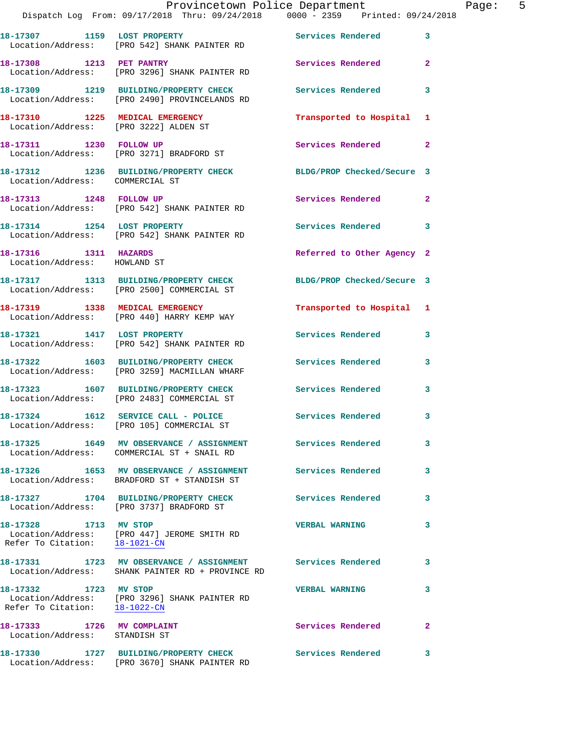|                                                                          | Provincetown Police Department<br>Dispatch Log From: 09/17/2018 Thru: 09/24/2018 0000 - 2359 Printed: 09/24/2018 |                            |                |
|--------------------------------------------------------------------------|------------------------------------------------------------------------------------------------------------------|----------------------------|----------------|
|                                                                          |                                                                                                                  |                            |                |
|                                                                          | 18-17307 1159 LOST PROPERTY Services Rendered<br>Location/Address: [PRO 542] SHANK PAINTER RD                    |                            | 3              |
| 18-17308 1213 PET PANTRY                                                 | Location/Address: [PRO 3296] SHANK PAINTER RD                                                                    | Services Rendered          | $\mathbf{2}$   |
|                                                                          | 18-17309 1219 BUILDING/PROPERTY CHECK<br>Location/Address: [PRO 2490] PROVINCELANDS RD                           | <b>Services Rendered</b>   | 3              |
| 18-17310 1225 MEDICAL EMERGENCY<br>Location/Address: [PRO 3222] ALDEN ST |                                                                                                                  | Transported to Hospital    | 1              |
|                                                                          | 18-17311 1230 FOLLOW UP<br>Location/Address: [PRO 3271] BRADFORD ST                                              | Services Rendered          | $\mathbf{2}$   |
| Location/Address: COMMERCIAL ST                                          | 18-17312 1236 BUILDING/PROPERTY CHECK BLDG/PROP Checked/Secure 3                                                 |                            |                |
|                                                                          | 18-17313 1248 FOLLOW UP<br>Location/Address: [PRO 542] SHANK PAINTER RD                                          | Services Rendered          | $\overline{2}$ |
|                                                                          | 18-17314 1254 LOST PROPERTY<br>Location/Address: [PRO 542] SHANK PAINTER RD                                      | Services Rendered          | 3              |
| 18-17316 1311 HAZARDS<br>Location/Address: HOWLAND ST                    |                                                                                                                  | Referred to Other Agency 2 |                |
|                                                                          | 18-17317 1313 BUILDING/PROPERTY CHECK<br>Location/Address: [PRO 2500] COMMERCIAL ST                              | BLDG/PROP Checked/Secure 3 |                |
|                                                                          | 18-17319 1338 MEDICAL EMERGENCY<br>Location/Address: [PRO 440] HARRY KEMP WAY                                    | Transported to Hospital 1  |                |
|                                                                          | 18-17321 1417 LOST PROPERTY<br>Location/Address: [PRO 542] SHANK PAINTER RD                                      | Services Rendered          | 3              |
|                                                                          | 18-17322 1603 BUILDING/PROPERTY CHECK<br>Location/Address: [PRO 3259] MACMILLAN WHARF                            | Services Rendered          | 3              |
|                                                                          | 18-17323 1607 BUILDING/PROPERTY CHECK<br>Location/Address: [PRO 2483] COMMERCIAL ST                              | Services Rendered          | 3              |
|                                                                          | 18-17324 1612 SERVICE CALL - POLICE<br>Location/Address: [PRO 105] COMMERCIAL ST                                 | <b>Services Rendered</b>   |                |
|                                                                          | 18-17325 1649 MV OBSERVANCE / ASSIGNMENT Services Rendered<br>Location/Address: COMMERCIAL ST + SNAIL RD         |                            | 3              |
|                                                                          | 18-17326 1653 MV OBSERVANCE / ASSIGNMENT<br>Location/Address: BRADFORD ST + STANDISH ST                          | <b>Services Rendered</b>   | 3              |
|                                                                          | 18-17327 1704 BUILDING/PROPERTY CHECK<br>Location/Address: [PRO 3737] BRADFORD ST                                | <b>Services Rendered</b>   | 3              |
| 18-17328 1713 MV STOP<br>Refer To Citation: 18-1021-CN                   | Location/Address: [PRO 447] JEROME SMITH RD                                                                      | <b>VERBAL WARNING</b>      | 3              |
|                                                                          | 18-17331 1723 MV OBSERVANCE / ASSIGNMENT Services Rendered<br>Location/Address: SHANK PAINTER RD + PROVINCE RD   |                            | 3              |
| 18-17332 1723 MV STOP                                                    | Location/Address: [PRO 3296] SHANK PAINTER RD<br>Refer To Citation: 18-1022-CN                                   | <b>VERBAL WARNING</b>      | 3              |
| 18-17333 1726 MV COMPLAINT<br>Location/Address: STANDISH ST              |                                                                                                                  | Services Rendered          | $\overline{a}$ |
|                                                                          | 18-17330 1727 BUILDING/PROPERTY CHECK<br>Location/Address: [PRO 3670] SHANK PAINTER RD                           | <b>Services Rendered</b>   | 3              |

Page: 5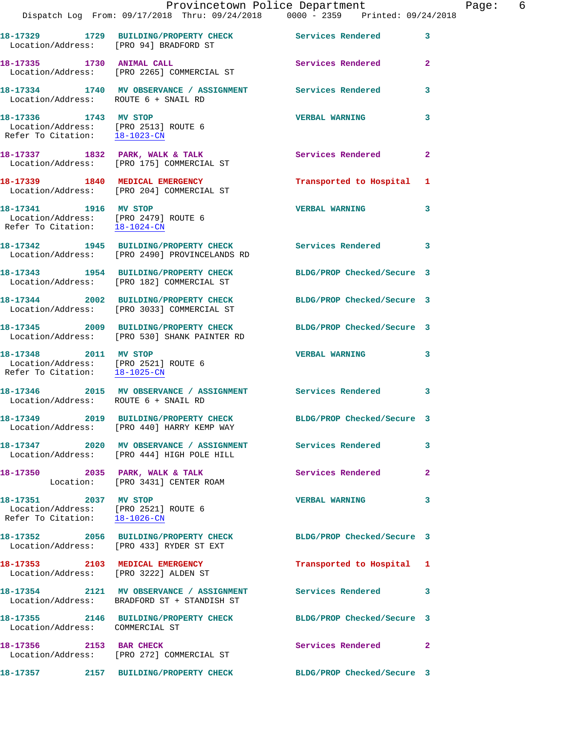|                                                                                                                     | Dispatch Log From: 09/17/2018 Thru: 09/24/2018 0000 - 2359 Printed: 09/24/2018                                   | Provincetown Police Department | Page: 6      |
|---------------------------------------------------------------------------------------------------------------------|------------------------------------------------------------------------------------------------------------------|--------------------------------|--------------|
|                                                                                                                     | 18-17329 1729 BUILDING/PROPERTY CHECK Services Rendered<br>Location/Address: [PRO 94] BRADFORD ST                |                                | 3            |
| 18-17335 1730 ANIMAL CALL                                                                                           | Location/Address: [PRO 2265] COMMERCIAL ST                                                                       | Services Rendered              | $\mathbf{2}$ |
| Location/Address: ROUTE 6 + SNAIL RD                                                                                | 18-17334 1740 MV OBSERVANCE / ASSIGNMENT Services Rendered                                                       |                                | 3            |
| 18-17336 1743 MV STOP<br>Location/Address: [PRO 2513] ROUTE 6<br>Refer To Citation: 18-1023-CN                      |                                                                                                                  | <b>VERBAL WARNING</b>          | 3            |
|                                                                                                                     | 18-17337 1832 PARK, WALK & TALK<br>Location/Address: [PRO 175] COMMERCIAL ST                                     | Services Rendered              | $\mathbf{2}$ |
|                                                                                                                     | 18-17339 1840 MEDICAL EMERGENCY<br>Location/Address: [PRO 204] COMMERCIAL ST                                     | Transported to Hospital 1      |              |
| 18-17341 1916 MV STOP<br>Location/Address: [PRO 2479] ROUTE 6<br>Refer To Citation: $\frac{18-1024-CN}{18-1024-CN}$ |                                                                                                                  | <b>VERBAL WARNING</b>          | $\mathbf{3}$ |
|                                                                                                                     | 18-17342 1945 BUILDING/PROPERTY CHECK Services Rendered 3<br>Location/Address: [PRO 2490] PROVINCELANDS RD       |                                |              |
|                                                                                                                     | 18-17343 1954 BUILDING/PROPERTY CHECK BLDG/PROP Checked/Secure 3<br>Location/Address: [PRO 182] COMMERCIAL ST    |                                |              |
|                                                                                                                     | 18-17344 2002 BUILDING/PROPERTY CHECK BLDG/PROP Checked/Secure 3<br>Location/Address: [PRO 3033] COMMERCIAL ST   |                                |              |
|                                                                                                                     | 18-17345 2009 BUILDING/PROPERTY CHECK BLDG/PROP Checked/Secure 3<br>Location/Address: [PRO 530] SHANK PAINTER RD |                                |              |
| 18-17348 2011 MV STOP<br>Refer To Citation: 18-1025-CN                                                              | Location/Address: [PRO 2521] ROUTE 6                                                                             | <b>VERBAL WARNING</b>          | 3            |
| Location/Address: ROUTE 6 + SNAIL RD                                                                                | 18-17346 2015 MV OBSERVANCE / ASSIGNMENT Services Rendered                                                       |                                | 3            |
|                                                                                                                     | 18-17349 2019 BUILDING/PROPERTY CHECK<br>Location/Address: [PRO 440] HARRY KEMP WAY                              | BLDG/PROP Checked/Secure 3     |              |
|                                                                                                                     | 18-17347 2020 MV OBSERVANCE / ASSIGNMENT Services Rendered<br>Location/Address: [PRO 444] HIGH POLE HILL         |                                | 3            |
|                                                                                                                     | 18-17350 2035 PARK, WALK & TALK<br>Location: [PRO 3431] CENTER ROAM                                              | Services Rendered              | $\mathbf{2}$ |
| Refer To Citation: 18-1026-CN                                                                                       | 18-17351 2037 MV STOP<br>Location/Address: [PRO 2521] ROUTE 6                                                    | <b>VERBAL WARNING</b>          | 3            |
|                                                                                                                     | 18-17352 2056 BUILDING/PROPERTY CHECK BLDG/PROP Checked/Secure 3<br>Location/Address: [PRO 433] RYDER ST EXT     |                                |              |
|                                                                                                                     | 18-17353 2103 MEDICAL EMERGENCY<br>Location/Address: [PRO 3222] ALDEN ST                                         | Transported to Hospital 1      |              |
|                                                                                                                     | 18-17354 2121 MV OBSERVANCE / ASSIGNMENT Services Rendered 3<br>Location/Address: BRADFORD ST + STANDISH ST      |                                |              |
| Location/Address: COMMERCIAL ST                                                                                     | 18-17355 2146 BUILDING/PROPERTY CHECK BLDG/PROP Checked/Secure 3                                                 |                                |              |
| 18-17356 2153 BAR CHECK                                                                                             | Location/Address: [PRO 272] COMMERCIAL ST                                                                        | Services Rendered 2            |              |
|                                                                                                                     |                                                                                                                  | BLDG/PROP Checked/Secure 3     |              |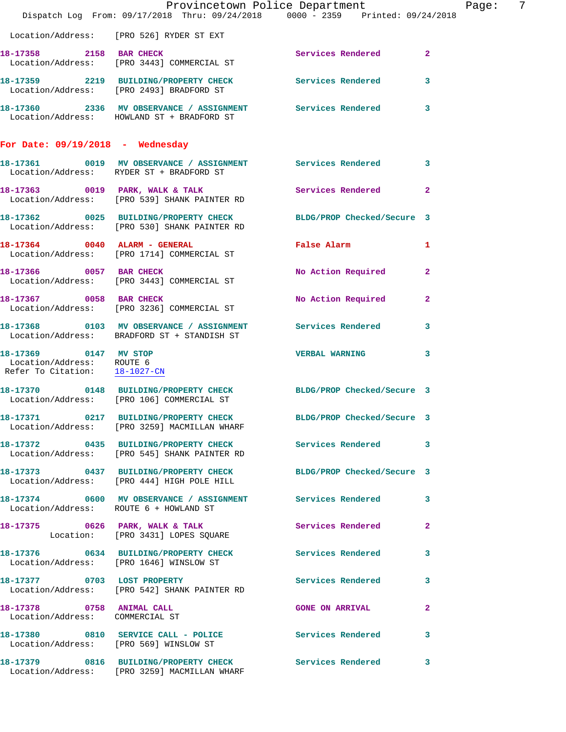|                                                               | Provincetown Police Department Page:<br>Dispatch Log From: 09/17/2018 Thru: 09/24/2018 0000 - 2359 Printed: 09/24/2018 |                            | $\overline{7}$ |
|---------------------------------------------------------------|------------------------------------------------------------------------------------------------------------------------|----------------------------|----------------|
|                                                               | Location/Address: [PRO 526] RYDER ST EXT                                                                               |                            |                |
|                                                               | 18-17358 2158 BAR CHECK<br>Location/Address: [PRO 3443] COMMERCIAL ST                                                  | Services Rendered          | $\mathbf{2}$   |
|                                                               | 18-17359 2219 BUILDING/PROPERTY CHECK Services Rendered 3<br>Location/Address: [PRO 2493] BRADFORD ST                  |                            |                |
|                                                               | 18-17360 2336 MV OBSERVANCE / ASSIGNMENT Services Rendered 3<br>Location/Address: HOWLAND ST + BRADFORD ST             |                            |                |
| For Date: $09/19/2018$ - Wednesday                            |                                                                                                                        |                            |                |
|                                                               | 18-17361 0019 MV OBSERVANCE / ASSIGNMENT Services Rendered 3<br>Location/Address: RYDER ST + BRADFORD ST               |                            |                |
|                                                               | 18-17363 0019 PARK, WALK & TALK 3 Services Rendered 2<br>Location/Address: [PRO 539] SHANK PAINTER RD                  |                            |                |
|                                                               | 18-17362 0025 BUILDING/PROPERTY CHECK BLDG/PROP Checked/Secure 3<br>Location/Address: [PRO 530] SHANK PAINTER RD       |                            |                |
|                                                               | 18-17364 0040 ALARM - GENERAL <b>False Alarm</b> 1<br>Location/Address: [PRO 1714] COMMERCIAL ST                       |                            |                |
| 18-17366 0057 BAR CHECK                                       | Location/Address: [PRO 3443] COMMERCIAL ST                                                                             | No Action Required 2       |                |
|                                                               | 18-17367 0058 BAR CHECK<br>Location/Address: [PRO 3236] COMMERCIAL ST                                                  | No Action Required         | $\mathbf{2}$   |
|                                                               | 18-17368 0103 MV OBSERVANCE / ASSIGNMENT Services Rendered<br>Location/Address: BRADFORD ST + STANDISH ST              |                            | 3              |
| Location/Address: ROUTE 6<br>Refer To Citation: $18-1027$ -CN | $18-17369$ 0147 MV STOP                                                                                                | VERBAL WARNING 3           |                |
|                                                               | 18-17370 0148 BUILDING/PROPERTY CHECK BLDG/PROP Checked/Secure 3<br>Location/Address: [PRO 106] COMMERCIAL ST          |                            |                |
|                                                               | 18-17371 0217 BUILDING/PROPERTY CHECK<br>Location/Address: [PRO 3259] MACMILLAN WHARF                                  | BLDG/PROP Checked/Secure 3 |                |
|                                                               | 18-17372 0435 BUILDING/PROPERTY CHECK Services Rendered 3<br>Location/Address: [PRO 545] SHANK PAINTER RD              |                            |                |
|                                                               | 18-17373 0437 BUILDING/PROPERTY CHECK BLDG/PROP Checked/Secure 3<br>Location/Address: [PRO 444] HIGH POLE HILL         |                            |                |
| Location/Address: ROUTE 6 + HOWLAND ST                        | 18-17374 0600 MV OBSERVANCE / ASSIGNMENT Services Rendered 3                                                           |                            |                |
|                                                               | 18-17375 0626 PARK, WALK & TALK<br>Location: [PRO 3431] LOPES SQUARE                                                   | Services Rendered          | $\mathbf{2}$   |
|                                                               | 18-17376 0634 BUILDING/PROPERTY CHECK Services Rendered<br>Location/Address: [PRO 1646] WINSLOW ST                     |                            | 3              |
|                                                               | 18-17377 0703 LOST PROPERTY<br>Location/Address: [PRO 542] SHANK PAINTER RD                                            | <b>Services Rendered</b>   | 3              |
| 18-17378 0758 ANIMAL CALL<br>Location/Address: COMMERCIAL ST  |                                                                                                                        | <b>GONE ON ARRIVAL</b>     | $\mathbf{2}$   |
|                                                               | 18-17380 0810 SERVICE CALL - POLICE Services Rendered 3<br>Location/Address: [PRO 569] WINSLOW ST                      |                            |                |
|                                                               | 18-17379 0816 BUILDING/PROPERTY CHECK Services Rendered<br>Location/Address: [PRO 3259] MACMILLAN WHARF                |                            | 3              |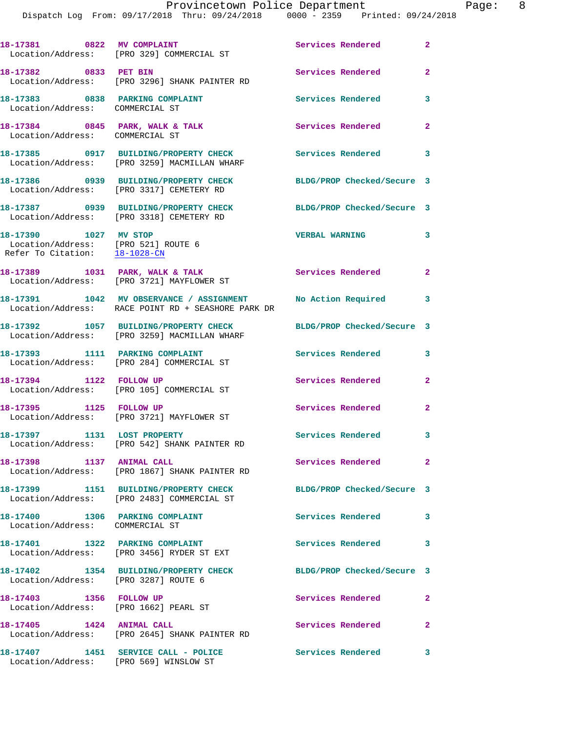|                                                                                               | 18-17381 0822 MV COMPLAINT<br>Location/Address: [PRO 329] COMMERCIAL ST                        | Services Rendered          | $\mathbf{2}$   |
|-----------------------------------------------------------------------------------------------|------------------------------------------------------------------------------------------------|----------------------------|----------------|
| 18-17382 0833 PET BIN                                                                         | Location/Address: [PRO 3296] SHANK PAINTER RD                                                  | Services Rendered          | $\overline{2}$ |
| 18-17383 0838 PARKING COMPLAINT<br>Location/Address: COMMERCIAL ST                            |                                                                                                | Services Rendered          | 3              |
| 18-17384 0845 PARK, WALK & TALK<br>Location/Address: COMMERCIAL ST                            |                                                                                                | Services Rendered          | $\overline{2}$ |
|                                                                                               | 18-17385 0917 BUILDING/PROPERTY CHECK<br>Location/Address: [PRO 3259] MACMILLAN WHARF          | Services Rendered          | 3              |
|                                                                                               | 18-17386 0939 BUILDING/PROPERTY CHECK<br>Location/Address: [PRO 3317] CEMETERY RD              | BLDG/PROP Checked/Secure 3 |                |
|                                                                                               | 18-17387 0939 BUILDING/PROPERTY CHECK<br>Location/Address: [PRO 3318] CEMETERY RD              | BLDG/PROP Checked/Secure 3 |                |
| 18-17390 1027 MV STOP<br>Location/Address: [PRO 521] ROUTE 6<br>Refer To Citation: 18-1028-CN |                                                                                                | <b>VERBAL WARNING</b>      | 3              |
|                                                                                               | 18-17389 1031 PARK, WALK & TALK<br>Location/Address: [PRO 3721] MAYFLOWER ST                   | Services Rendered          | $\overline{2}$ |
|                                                                                               | 18-17391 1042 MV OBSERVANCE / ASSIGNMENT<br>Location/Address: RACE POINT RD + SEASHORE PARK DR | No Action Required         | 3              |
|                                                                                               | 18-17392 1057 BUILDING/PROPERTY CHECK<br>Location/Address: [PRO 3259] MACMILLAN WHARF          | BLDG/PROP Checked/Secure 3 |                |
|                                                                                               | 18-17393 1111 PARKING COMPLAINT<br>Location/Address: [PRO 284] COMMERCIAL ST                   | Services Rendered          | 3              |
| 18-17394 1122 FOLLOW UP                                                                       | Location/Address: [PRO 105] COMMERCIAL ST                                                      | Services Rendered          | $\overline{2}$ |
| 18-17395 1125 FOLLOW UP                                                                       | Location/Address: [PRO 3721] MAYFLOWER ST                                                      | Services Rendered          | $\mathbf{2}$   |
| 18-17397 1131 LOST PROPERTY                                                                   | Location/Address: [PRO 542] SHANK PAINTER RD                                                   | Services Rendered 3        |                |
| 18-17398 1137 ANIMAL CALL                                                                     | Location/Address: [PRO 1867] SHANK PAINTER RD                                                  | Services Rendered 2        |                |
|                                                                                               | 18-17399 1151 BUILDING/PROPERTY CHECK<br>Location/Address: [PRO 2483] COMMERCIAL ST            | BLDG/PROP Checked/Secure 3 |                |
| 18-17400 1306 PARKING COMPLAINT<br>Location/Address: COMMERCIAL ST                            |                                                                                                | Services Rendered          | 3              |
|                                                                                               | 18-17401 1322 PARKING COMPLAINT<br>Location/Address: [PRO 3456] RYDER ST EXT                   | <b>Services Rendered</b>   | 3              |
| Location/Address: [PRO 3287] ROUTE 6                                                          | 18-17402 1354 BUILDING/PROPERTY CHECK                                                          | BLDG/PROP Checked/Secure 3 |                |
| 18-17403 1356 FOLLOW UP<br>Location/Address: [PRO 1662] PEARL ST                              |                                                                                                | Services Rendered          | $\mathbf{2}$   |
| 18-17405 1424 ANIMAL CALL                                                                     | Location/Address: [PRO 2645] SHANK PAINTER RD                                                  | Services Rendered          | $\mathbf{2}$   |
|                                                                                               | 18-17407 1451 SERVICE CALL - POLICE<br>Location/Address: [PRO 569] WINSLOW ST                  | Services Rendered          | 3              |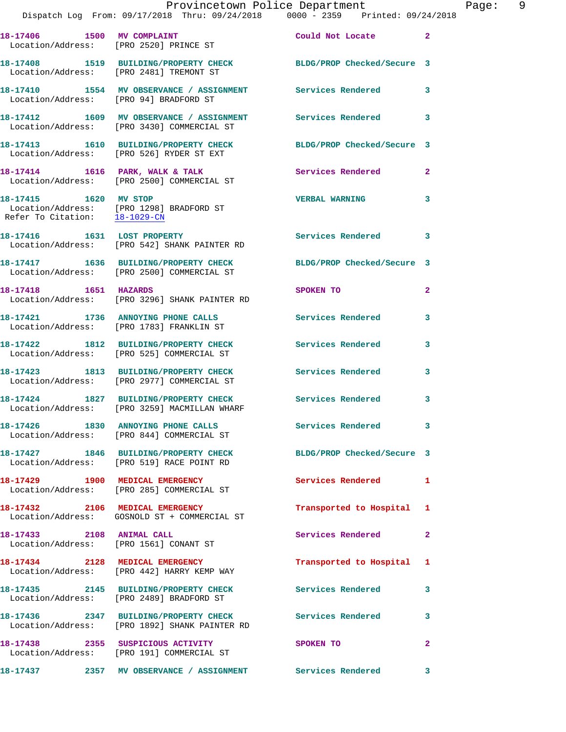|                                                          | Provincetown Police Department<br>Dispatch Log From: 09/17/2018 Thru: 09/24/2018 0000 - 2359 Printed: 09/24/2018 |                            |                |
|----------------------------------------------------------|------------------------------------------------------------------------------------------------------------------|----------------------------|----------------|
|                                                          |                                                                                                                  |                            |                |
|                                                          | 18-17406 1500 MV COMPLAINT<br>Location/Address: [PRO 2520] PRINCE ST                                             | Could Not Locate           | $\overline{a}$ |
|                                                          | 18-17408 1519 BUILDING/PROPERTY CHECK BLDG/PROP Checked/Secure 3<br>Location/Address: [PRO 2481] TREMONT ST      |                            |                |
| Location/Address: [PRO 94] BRADFORD ST                   | 18-17410 1554 MV OBSERVANCE / ASSIGNMENT Services Rendered                                                       |                            | 3              |
|                                                          | 18-17412 1609 MV OBSERVANCE / ASSIGNMENT Services Rendered<br>Location/Address: [PRO 3430] COMMERCIAL ST         |                            | 3              |
|                                                          | 18-17413 1610 BUILDING/PROPERTY CHECK<br>Location/Address: [PRO 526] RYDER ST EXT                                | BLDG/PROP Checked/Secure 3 |                |
|                                                          | 18-17414 1616 PARK, WALK & TALK<br>Location/Address: [PRO 2500] COMMERCIAL ST                                    | Services Rendered          | $\overline{2}$ |
| 18-17415   1620 MV STOP<br>Refer To Citation: 18-1029-CN | Location/Address: [PRO 1298] BRADFORD ST                                                                         | <b>VERBAL WARNING</b>      | 3              |
|                                                          | 18-17416 1631 LOST PROPERTY<br>Location/Address: [PRO 542] SHANK PAINTER RD                                      | <b>Services Rendered</b>   | 3              |
|                                                          | 18-17417 1636 BUILDING/PROPERTY CHECK BLDG/PROP Checked/Secure 3<br>Location/Address: [PRO 2500] COMMERCIAL ST   |                            |                |
| 18-17418   1651   HAZARDS                                | Location/Address: [PRO 3296] SHANK PAINTER RD                                                                    | SPOKEN TO                  | 2              |
|                                                          | 18-17421 1736 ANNOYING PHONE CALLS<br>Location/Address: [PRO 1783] FRANKLIN ST                                   | Services Rendered          | 3              |
|                                                          | 18-17422 1812 BUILDING/PROPERTY CHECK<br>Location/Address: [PRO 525] COMMERCIAL ST                               | <b>Services Rendered</b>   | 3              |
|                                                          | 18-17423 1813 BUILDING/PROPERTY CHECK Services Rendered<br>Location/Address: [PRO 2977] COMMERCIAL ST            |                            | 3              |
|                                                          | 18-17424 1827 BUILDING/PROPERTY CHECK<br>Location/Address: [PRO 3259] MACMILLAN WHARF                            | <b>Services Rendered</b>   | 3              |
|                                                          | 18-17426 1830 ANNOYING PHONE CALLS<br>Location/Address: [PRO 844] COMMERCIAL ST                                  | Services Rendered          | 3              |
|                                                          | 18-17427 1846 BUILDING/PROPERTY CHECK<br>Location/Address: [PRO 519] RACE POINT RD                               | BLDG/PROP Checked/Secure 3 |                |
|                                                          | 18-17429 1900 MEDICAL EMERGENCY<br>Location/Address: [PRO 285] COMMERCIAL ST                                     | Services Rendered          | 1              |
|                                                          | 18-17432 2106 MEDICAL EMERGENCY<br>Location/Address: GOSNOLD ST + COMMERCIAL ST                                  | Transported to Hospital    | 1              |
| 18-17433 2108 ANIMAL CALL                                | Location/Address: [PRO 1561] CONANT ST                                                                           | Services Rendered          | $\overline{a}$ |
|                                                          | 18-17434 2128 MEDICAL EMERGENCY<br>Location/Address: [PRO 442] HARRY KEMP WAY                                    | Transported to Hospital    | 1              |
|                                                          | 18-17435 2145 BUILDING/PROPERTY CHECK<br>Location/Address: [PRO 2489] BRADFORD ST                                | Services Rendered          | 3              |
|                                                          | 18-17436 2347 BUILDING/PROPERTY CHECK<br>Location/Address: [PRO 1892] SHANK PAINTER RD                           | <b>Services Rendered</b>   | 3              |
|                                                          | 18-17438 2355 SUSPICIOUS ACTIVITY<br>Location/Address: [PRO 191] COMMERCIAL ST                                   | SPOKEN TO                  | 2              |
|                                                          |                                                                                                                  |                            | 3              |

Page: 9<br>8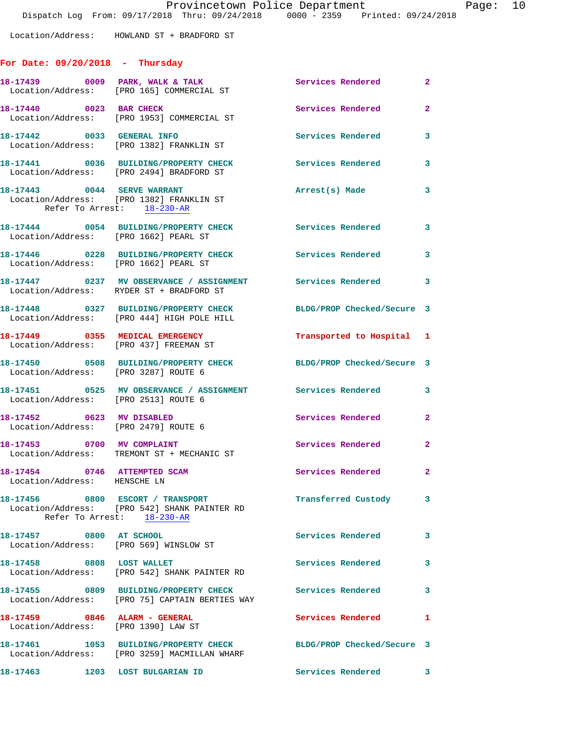Location/Address: HOWLAND ST + BRADFORD ST

## **For Date: 09/20/2018 - Thursday**

|                                                                      | 18-17439 0009 PARK, WALK & TALK<br>Location/Address: [PRO 165] COMMERCIAL ST            | Services Rendered          | $\mathbf{2}^-$             |
|----------------------------------------------------------------------|-----------------------------------------------------------------------------------------|----------------------------|----------------------------|
| 18-17440 0023 BAR CHECK                                              | Location/Address: [PRO 1953] COMMERCIAL ST                                              | <b>Services Rendered</b>   | $\overline{2}$             |
| 18-17442 0033 GENERAL INFO                                           | Location/Address: [PRO 1382] FRANKLIN ST                                                | <b>Services Rendered</b>   | 3                          |
|                                                                      | 18-17441 0036 BUILDING/PROPERTY CHECK<br>Location/Address: [PRO 2494] BRADFORD ST       | Services Rendered          | $\overline{\mathbf{3}}$    |
| Refer To Arrest: 18-230-AR                                           | 18-17443 0044 SERVE WARRANT<br>Location/Address: [PRO 1382] FRANKLIN ST                 | Arrest(s) Made             | 3                          |
| Location/Address: [PRO 1662] PEARL ST                                | 18-17444 0054 BUILDING/PROPERTY CHECK                                                   | Services Rendered 3        |                            |
| Location/Address: [PRO 1662] PEARL ST                                | 18-17446 0228 BUILDING/PROPERTY CHECK                                                   | <b>Services Rendered</b>   | 3                          |
|                                                                      | 18-17447 0237 MV OBSERVANCE / ASSIGNMENT<br>Location/Address: RYDER ST + BRADFORD ST    | <b>Services Rendered</b>   | $\overline{\phantom{a}}$ 3 |
|                                                                      | 18-17448 0327 BUILDING/PROPERTY CHECK<br>Location/Address: [PRO 444] HIGH POLE HILL     | BLDG/PROP Checked/Secure 3 |                            |
| 18-17449 0355 MEDICAL EMERGENCY                                      | Location/Address: [PRO 437] FREEMAN ST                                                  | Transported to Hospital 1  |                            |
| Location/Address: [PRO 3287] ROUTE 6                                 | 18-17450 0508 BUILDING/PROPERTY CHECK                                                   | BLDG/PROP Checked/Secure 3 |                            |
| Location/Address: [PRO 2513] ROUTE 6                                 |                                                                                         |                            | 3                          |
| 18-17452 0623 MV DISABLED<br>Location/Address: [PRO 2479] ROUTE 6    |                                                                                         | Services Rendered          | $\overline{2}$             |
|                                                                      | 18-17453 0700 MV COMPLAINT<br>Location/Address: TREMONT ST + MECHANIC ST                | Services Rendered          | $\mathbf{2}$               |
| 18-17454 0746 ATTEMPTED SCAM<br>Location/Address: HENSCHE LN         |                                                                                         | Services Rendered          | $\mathbf{2}$               |
| 18-17456 0800 ESCORT / TRANSPORT                                     | Location/Address: [PRO 542] SHANK PAINTER RD<br>Refer To Arrest: 18-230-AR              | Transferred Custody        | 3                          |
| 18-17457 0800 AT SCHOOL<br>Location/Address: [PRO 569] WINSLOW ST    |                                                                                         | Services Rendered          | 3                          |
| 18-17458 0808 LOST WALLET                                            | Location/Address: [PRO 542] SHANK PAINTER RD                                            | Services Rendered          | 3                          |
|                                                                      | 18-17455 0809 BUILDING/PROPERTY CHECK<br>Location/Address: [PRO 75] CAPTAIN BERTIES WAY | Services Rendered          | 3                          |
| 18-17459 0846 ALARM - GENERAL<br>Location/Address: [PRO 1390] LAW ST |                                                                                         | <b>Services Rendered</b>   | 1                          |
| 18-17461                                                             | 1053 BUILDING/PROPERTY CHECK<br>Location/Address: [PRO 3259] MACMILLAN WHARF            | BLDG/PROP Checked/Secure 3 |                            |
| 18-17463 1203 LOST BULGARIAN ID                                      |                                                                                         | <b>Services Rendered</b>   | 3                          |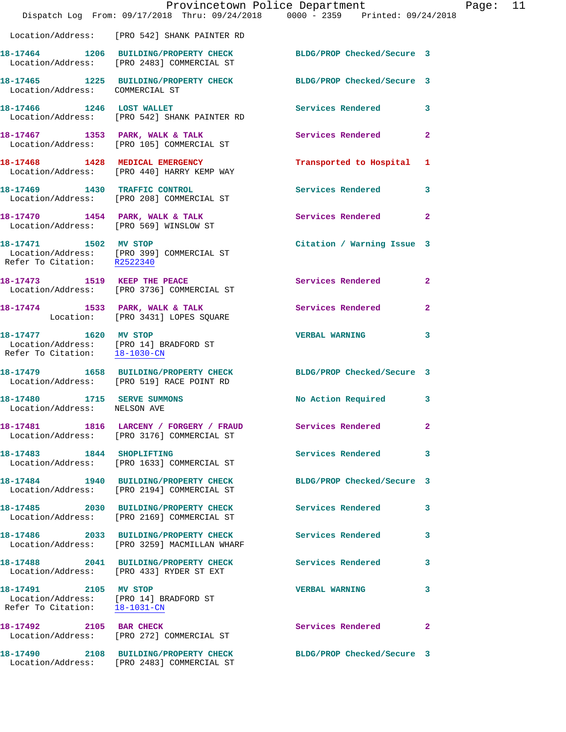|                                                                                                  | Provincetown Police Department<br>Dispatch Log From: 09/17/2018 Thru: 09/24/2018 0000 - 2359 Printed: 09/24/2018 |                            |                | Page: 11 |  |
|--------------------------------------------------------------------------------------------------|------------------------------------------------------------------------------------------------------------------|----------------------------|----------------|----------|--|
|                                                                                                  | Location/Address: [PRO 542] SHANK PAINTER RD                                                                     |                            |                |          |  |
|                                                                                                  | 18-17464 1206 BUILDING/PROPERTY CHECK BLDG/PROP Checked/Secure 3<br>Location/Address: [PRO 2483] COMMERCIAL ST   |                            |                |          |  |
| Location/Address: COMMERCIAL ST                                                                  | 18-17465 1225 BUILDING/PROPERTY CHECK BLDG/PROP Checked/Secure 3                                                 |                            |                |          |  |
|                                                                                                  | 18-17466 1246 LOST WALLET<br>Location/Address: [PRO 542] SHANK PAINTER RD                                        | Services Rendered 3        |                |          |  |
|                                                                                                  | 18-17467 1353 PARK, WALK & TALK 1999 Services Rendered<br>Location/Address: [PRO 105] COMMERCIAL ST              |                            | $\overline{2}$ |          |  |
|                                                                                                  | 18-17468 1428 MEDICAL EMERGENCY<br>Location/Address: [PRO 440] HARRY KEMP WAY                                    | Transported to Hospital 1  |                |          |  |
|                                                                                                  | 18-17469 1430 TRAFFIC CONTROL<br>Location/Address: [PRO 208] COMMERCIAL ST                                       | Services Rendered          | $\mathbf{3}$   |          |  |
|                                                                                                  | 18-17470 1454 PARK, WALK & TALK<br>Location/Address: [PRO 569] WINSLOW ST                                        | Services Rendered 2        |                |          |  |
| Refer To Citation: R2522340                                                                      | 18-17471 1502 MV STOP<br>Location/Address: [PRO 399] COMMERCIAL ST                                               | Citation / Warning Issue 3 |                |          |  |
|                                                                                                  | 18-17473 1519 KEEP THE PEACE<br>Location/Address: [PRO 3736] COMMERCIAL ST                                       | Services Rendered          | $\overline{a}$ |          |  |
|                                                                                                  | 18-17474 1533 PARK, WALK & TALK<br>Location: [PRO 3431] LOPES SQUARE                                             | Services Rendered          | $\mathbf{2}$   |          |  |
| 18-17477 1620 MV STOP                                                                            | Location/Address: [PRO 14] BRADFORD ST<br>Refer To Citation: 18-1030-CN                                          | <b>VERBAL WARNING</b>      | 3              |          |  |
|                                                                                                  | 18-17479 1658 BUILDING/PROPERTY CHECK BLDG/PROP Checked/Secure 3<br>Location/Address: [PRO 519] RACE POINT RD    |                            |                |          |  |
| 18-17480 1715 SERVE SUMMONS<br>Location/Address: NELSON AVE                                      |                                                                                                                  | No Action Required 3       |                |          |  |
|                                                                                                  | 18-17481 1816 LARCENY / FORGERY / FRAUD Services Rendered<br>Location/Address: [PRO 3176] COMMERCIAL ST          |                            | $\mathbf{2}$   |          |  |
| 18-17483 1844 SHOPLIFTING                                                                        | Location/Address: [PRO 1633] COMMERCIAL ST                                                                       | <b>Services Rendered</b>   | 3              |          |  |
|                                                                                                  | 18-17484 1940 BUILDING/PROPERTY CHECK<br>Location/Address: [PRO 2194] COMMERCIAL ST                              | BLDG/PROP Checked/Secure 3 |                |          |  |
|                                                                                                  | 18-17485 2030 BUILDING/PROPERTY CHECK<br>Location/Address: [PRO 2169] COMMERCIAL ST                              | Services Rendered          | 3              |          |  |
|                                                                                                  | 18-17486 2033 BUILDING/PROPERTY CHECK<br>Location/Address: [PRO 3259] MACMILLAN WHARF                            | Services Rendered          | 3              |          |  |
|                                                                                                  | 18-17488 2041 BUILDING/PROPERTY CHECK<br>Location/Address: [PRO 433] RYDER ST EXT                                | Services Rendered          | 3              |          |  |
| 18-17491 2105 MV STOP<br>Location/Address: [PRO 14] BRADFORD ST<br>Refer To Citation: 18-1031-CN |                                                                                                                  | <b>VERBAL WARNING</b>      | 3              |          |  |
|                                                                                                  | 18-17492 2105 BAR CHECK<br>Location/Address: [PRO 272] COMMERCIAL ST                                             | Services Rendered          | $\mathbf{2}$   |          |  |
|                                                                                                  | 18-17490 2108 BUILDING/PROPERTY CHECK BLDG/PROP Checked/Secure 3<br>Location/Address: [PRO 2483] COMMERCIAL ST   |                            |                |          |  |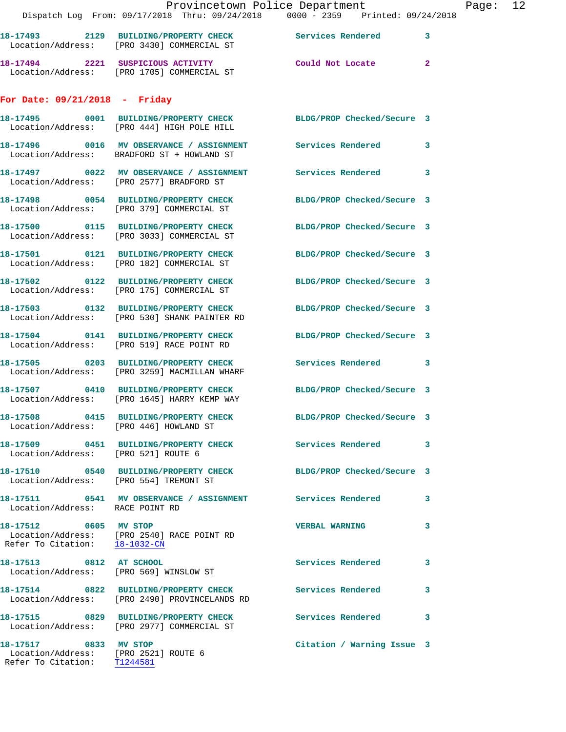|                                                               | Provincetown Police Department                                                                                   |                            |                |
|---------------------------------------------------------------|------------------------------------------------------------------------------------------------------------------|----------------------------|----------------|
|                                                               | Dispatch Log From: 09/17/2018 Thru: 09/24/2018 0000 - 2359 Printed: 09/24/2018                                   |                            |                |
|                                                               | 18-17493 2129 BUILDING/PROPERTY CHECK Services Rendered<br>Location/Address: [PRO 3430] COMMERCIAL ST            |                            | 3              |
|                                                               | 18-17494 2221 SUSPICIOUS ACTIVITY<br>Location/Address: [PRO 1705] COMMERCIAL ST                                  | Could Not Locate           | $\overline{2}$ |
| For Date: $09/21/2018$ - Friday                               |                                                                                                                  |                            |                |
|                                                               | 18-17495 0001 BUILDING/PROPERTY CHECK BLDG/PROP Checked/Secure 3<br>Location/Address: [PRO 444] HIGH POLE HILL   |                            |                |
|                                                               | 18-17496 0016 MV OBSERVANCE / ASSIGNMENT Services Rendered<br>Location/Address: BRADFORD ST + HOWLAND ST         |                            | 3              |
|                                                               | 18-17497 0022 MV OBSERVANCE / ASSIGNMENT Services Rendered<br>Location/Address: [PRO 2577] BRADFORD ST           |                            | 3              |
|                                                               | 18-17498 0054 BUILDING/PROPERTY CHECK<br>Location/Address: [PRO 379] COMMERCIAL ST                               | BLDG/PROP Checked/Secure 3 |                |
|                                                               | 18-17500 0115 BUILDING/PROPERTY CHECK BLDG/PROP Checked/Secure 3<br>Location/Address: [PRO 3033] COMMERCIAL ST   |                            |                |
|                                                               | 18-17501 0121 BUILDING/PROPERTY CHECK<br>Location/Address: [PRO 182] COMMERCIAL ST                               | BLDG/PROP Checked/Secure 3 |                |
|                                                               | 18-17502 0122 BUILDING/PROPERTY CHECK BLDG/PROP Checked/Secure 3<br>Location/Address: [PRO 175] COMMERCIAL ST    |                            |                |
|                                                               | 18-17503 0132 BUILDING/PROPERTY CHECK BLDG/PROP Checked/Secure 3<br>Location/Address: [PRO 530] SHANK PAINTER RD |                            |                |
|                                                               | 18-17504 0141 BUILDING/PROPERTY CHECK<br>Location/Address: [PRO 519] RACE POINT RD                               | BLDG/PROP Checked/Secure 3 |                |
|                                                               | 18-17505 0203 BUILDING/PROPERTY CHECK Services Rendered<br>Location/Address: [PRO 3259] MACMILLAN WHARF          |                            | 3              |
|                                                               | 18-17507 0410 BUILDING/PROPERTY CHECK BLDG/PROP Checked/Secure 3<br>Location/Address: [PRO 1645] HARRY KEMP WAY  |                            |                |
| Location/Address: [PRO 446] HOWLAND ST                        | 18-17508 0415 BUILDING/PROPERTY CHECK                                                                            | BLDG/PROP Checked/Secure 3 |                |
| Location/Address: [PRO 521] ROUTE 6                           | 18-17509 0451 BUILDING/PROPERTY CHECK Services Rendered                                                          |                            | 3              |
| Location/Address: [PRO 554] TREMONT ST                        | 18-17510 0540 BUILDING/PROPERTY CHECK                                                                            | BLDG/PROP Checked/Secure 3 |                |
| Location/Address: RACE POINT RD                               | 18-17511 0541 MV OBSERVANCE / ASSIGNMENT Services Rendered                                                       |                            | 3              |
| 18-17512 0605 MV STOP<br>Refer To Citation: 18-1032-CN        | Location/Address: [PRO 2540] RACE POINT RD                                                                       | <b>VERBAL WARNING</b>      | 3              |
| 18-17513 0812 AT SCHOOL                                       | Location/Address: [PRO 569] WINSLOW ST                                                                           | <b>Services Rendered</b>   | 3              |
|                                                               | 18-17514 0822 BUILDING/PROPERTY CHECK Services Rendered<br>Location/Address: [PRO 2490] PROVINCELANDS RD         |                            | 3              |
|                                                               | 18-17515 0829 BUILDING/PROPERTY CHECK<br>Location/Address: [PRO 2977] COMMERCIAL ST                              | <b>Services Rendered</b>   | 3              |
| 18-17517 0833 MV STOP<br>Location/Address: [PRO 2521] ROUTE 6 |                                                                                                                  | Citation / Warning Issue 3 |                |

Refer To Citation: T1244581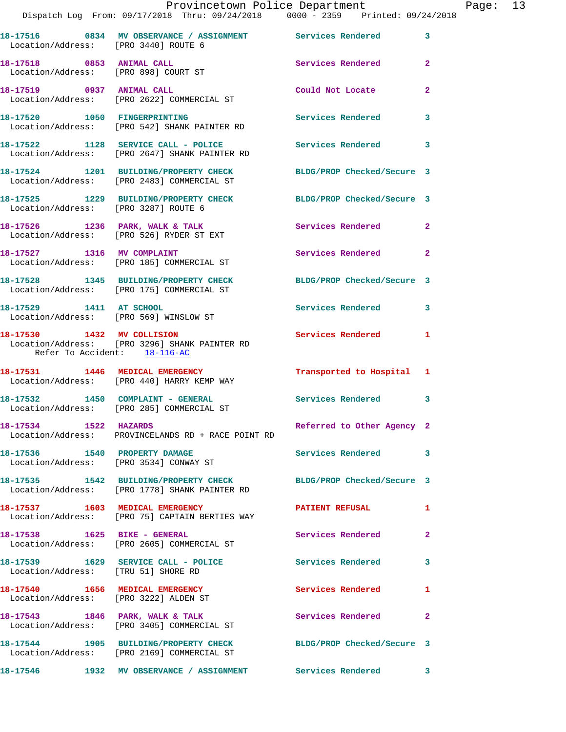|                                      | Provincetown Police Department Fage: 13<br>Dispatch Log From: 09/17/2018 Thru: 09/24/2018   0000 - 2359   Printed: 09/24/2018 |                            |              |  |
|--------------------------------------|-------------------------------------------------------------------------------------------------------------------------------|----------------------------|--------------|--|
| Location/Address: [PRO 3440] ROUTE 6 | 18-17516 0834 MV OBSERVANCE / ASSIGNMENT Services Rendered                                                                    |                            | $\mathbf{3}$ |  |
|                                      | 18-17518 0853 ANIMAL CALL<br>Location/Address: [PRO 898] COURT ST                                                             | Services Rendered          | $\mathbf{2}$ |  |
|                                      | 18-17519     0937 ANIMAL CALL<br>Location/Address:   [PRO 2622] COMMERCIAL ST                                                 | Could Not Locate           | $\mathbf{2}$ |  |
|                                      | 18-17520 1050 FINGERPRINTING<br>Location/Address: [PRO 542] SHANK PAINTER RD                                                  | Services Rendered          | $\mathbf{3}$ |  |
|                                      | 18-17522 1128 SERVICE CALL - POLICE<br>Location/Address: [PRO 2647] SHANK PAINTER RD                                          | Services Rendered          | $\mathbf{3}$ |  |
|                                      | 18-17524 1201 BUILDING/PROPERTY CHECK BLDG/PROP Checked/Secure 3<br>Location/Address: [PRO 2483] COMMERCIAL ST                |                            |              |  |
| Location/Address: [PRO 3287] ROUTE 6 | 18-17525 1229 BUILDING/PROPERTY CHECK BLDG/PROP Checked/Secure 3                                                              |                            |              |  |
|                                      | 18-17526 1236 PARK, WALK & TALK<br>Location/Address: [PRO 526] RYDER ST EXT                                                   | Services Rendered          | $\mathbf{2}$ |  |
|                                      | 18-17527 1316 MV COMPLAINT<br>Location/Address: [PRO 185] COMMERCIAL ST                                                       | Services Rendered 2        |              |  |
|                                      | 18-17528 1345 BUILDING/PROPERTY CHECK BLDG/PROP Checked/Secure 3<br>Location/Address: [PRO 175] COMMERCIAL ST                 |                            |              |  |
| 18-17529 1411 AT SCHOOL              | Location/Address: [PRO 569] WINSLOW ST                                                                                        | Services Rendered 3        |              |  |
| Refer To Accident: 18-116-AC         | 18-17530 1432 MV COLLISION<br>Location/Address: [PRO 3296] SHANK PAINTER RD                                                   | Services Rendered 1        |              |  |
|                                      | 18-17531 1446 MEDICAL EMERGENCY<br>Location/Address: [PRO 440] HARRY KEMP WAY                                                 | Transported to Hospital 1  |              |  |
|                                      | 18-17532 1450 COMPLAINT - GENERAL<br>Location/Address: [PRO 285] COMMERCIAL ST                                                | Services Rendered 3        |              |  |
| 18-17534 1522 HAZARDS                | Location/Address: PROVINCELANDS RD + RACE POINT RD                                                                            | Referred to Other Agency 2 |              |  |
|                                      | 18-17536 1540 PROPERTY DAMAGE<br>Location/Address: [PRO 3534] CONWAY ST                                                       | Services Rendered 3        |              |  |
|                                      | 18-17535 1542 BUILDING/PROPERTY CHECK BLDG/PROP Checked/Secure 3<br>Location/Address: [PRO 1778] SHANK PAINTER RD             |                            |              |  |
|                                      | 18-17537 1603 MEDICAL EMERGENCY<br>Location/Address: [PRO 75] CAPTAIN BERTIES WAY                                             | <b>PATIENT REFUSAL</b>     | $\mathbf{1}$ |  |
| 18-17538 1625 BIKE - GENERAL         | Location/Address: [PRO 2605] COMMERCIAL ST                                                                                    | Services Rendered          | $\mathbf{2}$ |  |
| Location/Address: [TRU 51] SHORE RD  | 18-17539 1629 SERVICE CALL - POLICE 30 Services Rendered                                                                      |                            | 3            |  |
|                                      | 18-17540 1656 MEDICAL EMERGENCY<br>Location/Address: [PRO 3222] ALDEN ST                                                      | Services Rendered          | 1            |  |
|                                      | 18-17543 1846 PARK, WALK & TALK<br>Location/Address: [PRO 3405] COMMERCIAL ST                                                 | Services Rendered          | 2            |  |
|                                      | 18-17544 1905 BUILDING/PROPERTY CHECK BLDG/PROP Checked/Secure 3<br>Location/Address: [PRO 2169] COMMERCIAL ST                |                            |              |  |
|                                      | 18-17546               1932    MV OBSERVANCE  /  ASSIGNMENT                Services  Rendered               3                 |                            |              |  |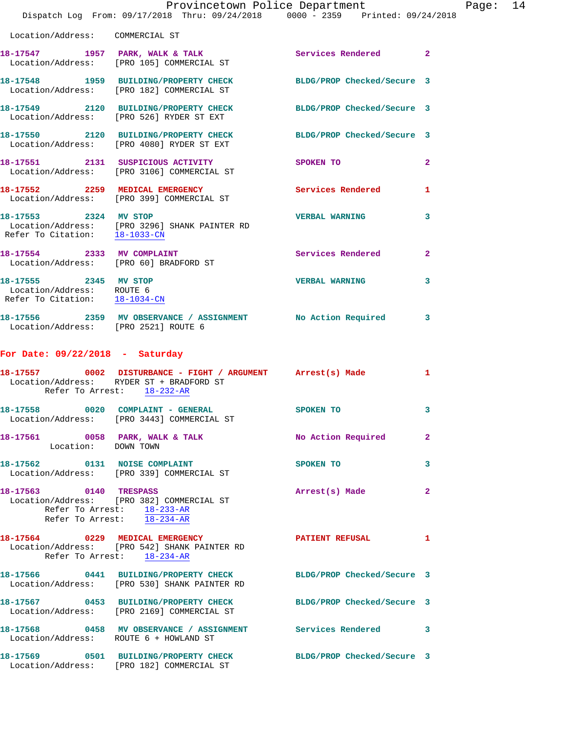|                                                                                     | Provincetown Police Department<br>Dispatch Log From: 09/17/2018 Thru: 09/24/2018 0000 - 2359 Printed: 09/24/2018                |                                                                                                                |                | Page: 14 |  |
|-------------------------------------------------------------------------------------|---------------------------------------------------------------------------------------------------------------------------------|----------------------------------------------------------------------------------------------------------------|----------------|----------|--|
| Location/Address: COMMERCIAL ST                                                     |                                                                                                                                 |                                                                                                                |                |          |  |
|                                                                                     | 18-17547 1957 PARK, WALK & TALK STARE Services Rendered 2<br>Location/Address: [PRO 105] COMMERCIAL ST                          |                                                                                                                |                |          |  |
|                                                                                     | 18-17548 1959 BUILDING/PROPERTY CHECK BLDG/PROP Checked/Secure 3<br>Location/Address: [PRO 182] COMMERCIAL ST                   |                                                                                                                |                |          |  |
|                                                                                     | 18-17549 2120 BUILDING/PROPERTY CHECK BLDG/PROP Checked/Secure 3<br>Location/Address: [PRO 526] RYDER ST EXT                    |                                                                                                                |                |          |  |
|                                                                                     | 18-17550 2120 BUILDING/PROPERTY CHECK BLDG/PROP Checked/Secure 3<br>Location/Address: [PRO 4080] RYDER ST EXT                   |                                                                                                                |                |          |  |
|                                                                                     | 18-17551 2131 SUSPICIOUS ACTIVITY<br>Location/Address: [PRO 3106] COMMERCIAL ST                                                 | SPOKEN TO THE SPOKEN OF THE SPOKEN OF THE SPOKEN OF THE SPOKEN OF THE SPOKEN OF THE SPOKEN OF THE SPOKEN OF TH | $\overline{2}$ |          |  |
|                                                                                     | 18-17552 2259 MEDICAL EMERGENCY Services Rendered 1<br>Location/Address: [PRO 399] COMMERCIAL ST                                |                                                                                                                |                |          |  |
|                                                                                     | 18-17553 2324 MV STOP<br>Location/Address: [PRO 3296] SHANK PAINTER RD<br>Refer To Citation: $\frac{18-1033-CN}{\ }$            | <b>VERBAL WARNING</b>                                                                                          | 3              |          |  |
|                                                                                     | 18-17554 2333 MV COMPLAINT<br>Location/Address: [PRO 60] BRADFORD ST                                                            | Services Rendered                                                                                              | $\mathbf{2}$   |          |  |
| 18-17555 2345 MV STOP<br>Location/Address: ROUTE 6<br>Refer To Citation: 18-1034-CN |                                                                                                                                 | <b>VERBAL WARNING</b>                                                                                          | 3              |          |  |
| Location/Address: [PRO 2521] ROUTE 6                                                | 18-17556 2359 MV OBSERVANCE / ASSIGNMENT No Action Required 3                                                                   |                                                                                                                |                |          |  |
| For Date: $09/22/2018$ - Saturday                                                   |                                                                                                                                 |                                                                                                                |                |          |  |
| Refer To Arrest: 18-232-AR                                                          | 18-17557 0002 DISTURBANCE - FIGHT / ARGUMENT Arrest(s) Made<br>Location/Address: RYDER ST + BRADFORD ST                         |                                                                                                                | 1              |          |  |
|                                                                                     | 18-17558 0020 COMPLAINT - GENERAL<br>Location/Address: [PRO 3443] COMMERCIAL ST                                                 | SPOKEN TO                                                                                                      |                |          |  |
| Location: DOWN TOWN                                                                 | 18-17561 0058 PARK, WALK & TALK No Action Required 2                                                                            |                                                                                                                |                |          |  |
|                                                                                     | 18-17562 0131 NOISE COMPLAINT<br>Location/Address: [PRO 339] COMMERCIAL ST                                                      | SPOKEN TO                                                                                                      | 3              |          |  |
| 18-17563 0140 TRESPASS<br>Refer To Arrest: 18-233-AR                                | Location/Address: [PRO 382] COMMERCIAL ST<br>Refer To Arrest: 18-234-AR                                                         | Arrest(s) Made                                                                                                 | $\mathbf{2}$   |          |  |
|                                                                                     | 18-17564 0229 MEDICAL EMERGENCY PATIENT REFUSAL 1<br>Location/Address: [PRO 542] SHANK PAINTER RD<br>Refer To Arrest: 18-234-AR |                                                                                                                |                |          |  |
|                                                                                     | 18-17566 0441 BUILDING/PROPERTY CHECK BLDG/PROP Checked/Secure 3<br>Location/Address: [PRO 530] SHANK PAINTER RD                |                                                                                                                |                |          |  |
|                                                                                     | 18-17567 0453 BUILDING/PROPERTY CHECK BLDG/PROP Checked/Secure 3<br>Location/Address: [PRO 2169] COMMERCIAL ST                  |                                                                                                                |                |          |  |
| Location/Address: ROUTE 6 + HOWLAND ST                                              | 18-17568 0458 MV OBSERVANCE / ASSIGNMENT Services Rendered 3                                                                    |                                                                                                                |                |          |  |
|                                                                                     | 18-17569 0501 BUILDING/PROPERTY CHECK BLDG/PROP Checked/Secure 3<br>Location/Address: [PRO 182] COMMERCIAL ST                   |                                                                                                                |                |          |  |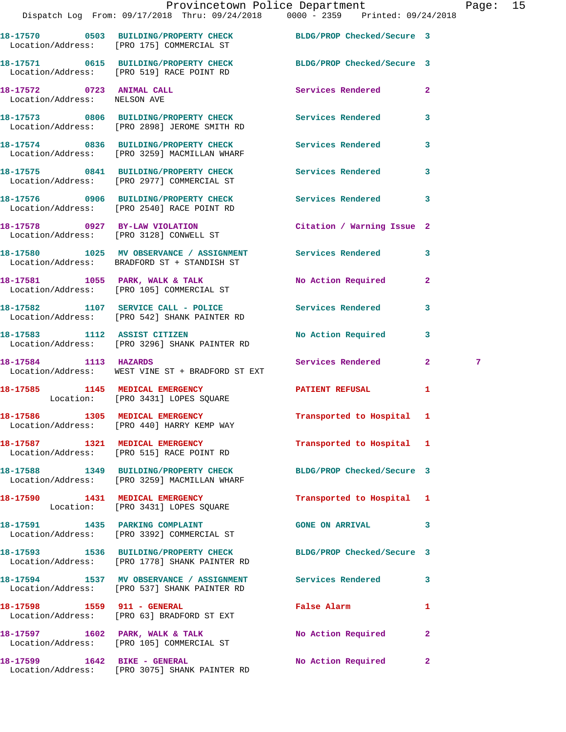|                                                           | Provincetown Police Department Page: 15<br>Dispatch Log From: 09/17/2018 Thru: 09/24/2018   0000 - 2359   Printed: 09/24/2018 |                                             |                         |   |  |
|-----------------------------------------------------------|-------------------------------------------------------------------------------------------------------------------------------|---------------------------------------------|-------------------------|---|--|
|                                                           | 18-17570 0503 BUILDING/PROPERTY CHECK BLDG/PROP Checked/Secure 3<br>Location/Address: [PRO 175] COMMERCIAL ST                 |                                             |                         |   |  |
|                                                           | 18-17571 0615 BUILDING/PROPERTY CHECK BLDG/PROP Checked/Secure 3<br>Location/Address: [PRO 519] RACE POINT RD                 |                                             |                         |   |  |
| 18-17572 0723 ANIMAL CALL<br>Location/Address: NELSON AVE |                                                                                                                               | Services Rendered 2                         |                         |   |  |
|                                                           | 18-17573 0806 BUILDING/PROPERTY CHECK Services Rendered 3<br>Location/Address: [PRO 2898] JEROME SMITH RD                     |                                             |                         |   |  |
|                                                           | 18-17574 0836 BUILDING/PROPERTY CHECK Services Rendered<br>Location/Address: [PRO 3259] MACMILLAN WHARF                       |                                             | $\overline{\mathbf{3}}$ |   |  |
|                                                           | 18-17575 0841 BUILDING/PROPERTY CHECK Services Rendered 3<br>Location/Address: [PRO 2977] COMMERCIAL ST                       |                                             |                         |   |  |
|                                                           | 18-17576 0906 BUILDING/PROPERTY CHECK Services Rendered 3<br>Location/Address: [PRO 2540] RACE POINT RD                       |                                             |                         |   |  |
|                                                           | 18-17578 0927 BY-LAW VIOLATION<br>Location/Address: [PRO 3128] CONWELL ST                                                     | Citation / Warning Issue 2                  |                         |   |  |
|                                                           | 18-17580 1025 MV OBSERVANCE / ASSIGNMENT Services Rendered 3<br>Location/Address: BRADFORD ST + STANDISH ST                   |                                             |                         |   |  |
|                                                           | 18-17581 1055 PARK, WALK & TALK<br>Location/Address: [PRO 105] COMMERCIAL ST                                                  | No Action Required 2                        |                         |   |  |
|                                                           | 18-17582 1107 SERVICE CALL - POLICE 3 Services Rendered 3<br>Location/Address: [PRO 542] SHANK PAINTER RD                     |                                             |                         |   |  |
|                                                           | 18-17583 1112 ASSIST CITIZEN<br>Location/Address: [PRO 3296] SHANK PAINTER RD                                                 | No Action Required 3                        |                         |   |  |
| 18-17584 1113 HAZARDS                                     | Location/Address: WEST VINE ST + BRADFORD ST EXT                                                                              | <b>Services Rendered</b> 2                  |                         | 7 |  |
|                                                           | 18-17585 1145 MEDICAL EMERGENCY <b>EXERGENER PATIENT REFUSAL</b><br>Location: [PRO 3431] LOPES SQUARE                         |                                             | 1                       |   |  |
|                                                           | 18-17586 1305 MEDICAL EMERGENCY<br>Location/Address: [PRO 440] HARRY KEMP WAY                                                 | Transported to Hospital 1                   |                         |   |  |
|                                                           | 18-17587 1321 MEDICAL EMERGENCY<br>Location/Address: [PRO 515] RACE POINT RD                                                  | Transported to Hospital 1                   |                         |   |  |
|                                                           | 18-17588 1349 BUILDING/PROPERTY CHECK<br>Location/Address: [PRO 3259] MACMILLAN WHARF                                         | BLDG/PROP Checked/Secure 3                  |                         |   |  |
|                                                           | 18-17590 1431 MEDICAL EMERGENCY<br>Location: [PRO 3431] LOPES SQUARE                                                          | Transported to Hospital 1                   |                         |   |  |
|                                                           | 18-17591 1435 PARKING COMPLAINT<br>Location/Address: [PRO 3392] COMMERCIAL ST                                                 | GONE ON ARRIVAL 3                           |                         |   |  |
|                                                           | 18-17593 1536 BUILDING/PROPERTY CHECK BLDG/PROP Checked/Secure 3<br>Location/Address: [PRO 1778] SHANK PAINTER RD             |                                             |                         |   |  |
|                                                           | 18-17594 1537 MV OBSERVANCE / ASSIGNMENT Services Rendered 3<br>Location/Address: [PRO 537] SHANK PAINTER RD                  |                                             |                         |   |  |
|                                                           | Location/Address: [PRO 63] BRADFORD ST EXT                                                                                    | False Alarm <b>Exercise Service Service</b> | 1                       |   |  |
|                                                           | 18-17597 1602 PARK, WALK & TALK<br>Location/Address: [PRO 105] COMMERCIAL ST                                                  | No Action Required 2                        |                         |   |  |
|                                                           |                                                                                                                               |                                             |                         |   |  |

**18-17599 1642 BIKE - GENERAL No Action Required 2** 

Location/Address: [PRO 3075] SHANK PAINTER RD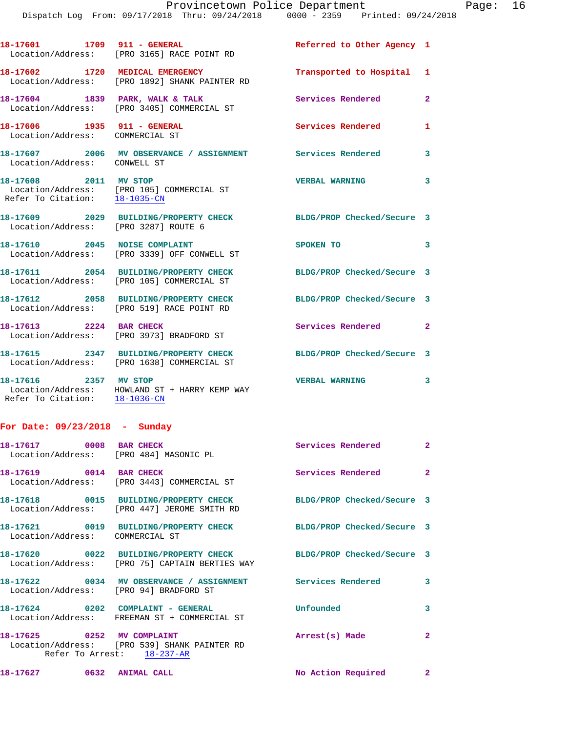|                                                                      | 18-17601 1709 911 - GENERAL<br>Location/Address: [PRO 3165] RACE POINT RD           | Referred to Other Agency 1 |                |
|----------------------------------------------------------------------|-------------------------------------------------------------------------------------|----------------------------|----------------|
|                                                                      | 18-17602 1720 MEDICAL EMERGENCY<br>Location/Address: [PRO 1892] SHANK PAINTER RD    | Transported to Hospital 1  |                |
| 18-17604 1839 PARK, WALK & TALK                                      | Location/Address: [PRO 3405] COMMERCIAL ST                                          | Services Rendered          | $\overline{2}$ |
| 18-17606 1935 911 - GENERAL<br>Location/Address: COMMERCIAL ST       |                                                                                     | <b>Services Rendered</b>   | $\mathbf{1}$   |
| Location/Address: CONWELL ST                                         | 18-17607 2006 MV OBSERVANCE / ASSIGNMENT Services Rendered                          |                            | 3              |
| 18-17608 2011 MV STOP                                                | Location/Address: [PRO 105] COMMERCIAL ST<br>Refer To Citation: 18-1035-CN          | <b>VERBAL WARNING</b>      | $\mathbf{3}$   |
| Location/Address: [PRO 3287] ROUTE 6                                 | 18-17609 2029 BUILDING/PROPERTY CHECK BLDG/PROP Checked/Secure 3                    |                            |                |
|                                                                      | 18-17610 2045 NOISE COMPLAINT<br>Location/Address: [PRO 3339] OFF CONWELL ST        | SPOKEN TO                  | 3              |
|                                                                      | 18-17611 2054 BUILDING/PROPERTY CHECK<br>Location/Address: [PRO 105] COMMERCIAL ST  | BLDG/PROP Checked/Secure 3 |                |
|                                                                      | 18-17612 2058 BUILDING/PROPERTY CHECK<br>Location/Address: [PRO 519] RACE POINT RD  | BLDG/PROP Checked/Secure 3 |                |
| 18-17613 2224 BAR CHECK                                              | Location/Address: [PRO 3973] BRADFORD ST                                            | Services Rendered 2        |                |
|                                                                      | 18-17615 2347 BUILDING/PROPERTY CHECK<br>Location/Address: [PRO 1638] COMMERCIAL ST | BLDG/PROP Checked/Secure 3 |                |
| 18-17616 2357 MV STOP                                                | Location/Address: HOWLAND ST + HARRY KEMP WAY<br>Refer To Citation: 18-1036-CN      | <b>VERBAL WARNING</b>      | 3              |
| $T_{\text{max}}$ $T_{\text{max}}$ $\sim$ 00/00/0010 $T_{\text{max}}$ |                                                                                     |                            |                |

| 18-17617 0008 BAR CHECK         | Location/Address: [PRO 484] MASONIC PL                                                                             | Services Rendered          | $\overline{2}$ |
|---------------------------------|--------------------------------------------------------------------------------------------------------------------|----------------------------|----------------|
| 18-17619 0014 BAR CHECK         | Location/Address: [PRO 3443] COMMERCIAL ST                                                                         | Services Rendered 2        |                |
|                                 | Location/Address: [PRO 447] JEROME SMITH RD                                                                        | BLDG/PROP Checked/Secure 3 |                |
| Location/Address: COMMERCIAL ST | 18-17621 0019 BUILDING/PROPERTY CHECK BLDG/PROP Checked/Secure 3                                                   |                            |                |
|                                 | 18-17620 0022 BUILDING/PROPERTY CHECK BLDG/PROP Checked/Secure 3<br>Location/Address: [PRO 75] CAPTAIN BERTIES WAY |                            |                |
|                                 | 18-17622 0034 MV OBSERVANCE / ASSIGNMENT Services Rendered<br>Location/Address: [PRO 94] BRADFORD ST               |                            | $\mathbf{3}$   |
|                                 | 18-17624 0202 COMPLAINT - GENERAL<br>Location/Address: FREEMAN ST + COMMERCIAL ST                                  | Unfounded                  | 3              |
| 18-17625 0252 MV COMPLAINT      | Location/Address: [PRO 539] SHANK PAINTER RD<br>Refer To Arrest: 18-237-AR                                         | Arrest(s) Made             | $\overline{2}$ |

**18-17627 0632 ANIMAL CALL No Action Required 2**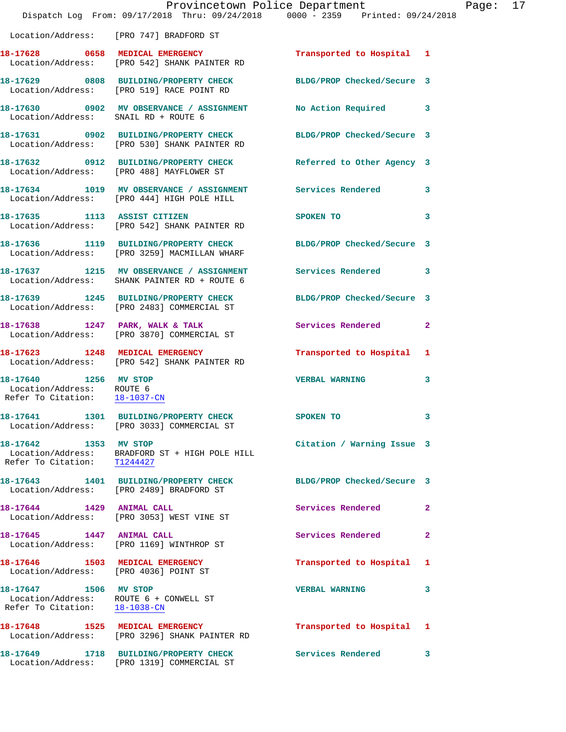|                                                                                                  | Dispatch Log From: 09/17/2018 Thru: 09/24/2018   0000 - 2359   Printed: 09/24/2018                               | Provincetown Police Department | Page: 17     |
|--------------------------------------------------------------------------------------------------|------------------------------------------------------------------------------------------------------------------|--------------------------------|--------------|
|                                                                                                  | Location/Address: [PRO 747] BRADFORD ST                                                                          |                                |              |
|                                                                                                  |                                                                                                                  |                                |              |
|                                                                                                  | 18-17629 0808 BUILDING/PROPERTY CHECK BLDG/PROP Checked/Secure 3<br>Location/Address: [PRO 519] RACE POINT RD    |                                |              |
| Location/Address: SNAIL RD + ROUTE 6                                                             | 18-17630 0902 MV OBSERVANCE / ASSIGNMENT No Action Required 3                                                    |                                |              |
|                                                                                                  | 18-17631 0902 BUILDING/PROPERTY CHECK BLDG/PROP Checked/Secure 3<br>Location/Address: [PRO 530] SHANK PAINTER RD |                                |              |
|                                                                                                  | 18-17632 0912 BUILDING/PROPERTY CHECK Referred to Other Agency 3<br>Location/Address: [PRO 488] MAYFLOWER ST     |                                |              |
|                                                                                                  | 18-17634 1019 MV OBSERVANCE / ASSIGNMENT Services Rendered 3<br>Location/Address: [PRO 444] HIGH POLE HILL       |                                |              |
|                                                                                                  | 18-17635 1113 ASSIST CITIZEN<br>Location/Address: [PRO 542] SHANK PAINTER RD                                     | SPOKEN TO                      | 3            |
|                                                                                                  | 18-17636 1119 BUILDING/PROPERTY CHECK BLDG/PROP Checked/Secure 3<br>Location/Address: [PRO 3259] MACMILLAN WHARF |                                |              |
|                                                                                                  | 18-17637 1215 MV OBSERVANCE / ASSIGNMENT Services Rendered 3<br>Location/Address: SHANK PAINTER RD + ROUTE 6     |                                |              |
|                                                                                                  | 18-17639 1245 BUILDING/PROPERTY CHECK BLDG/PROP Checked/Secure 3<br>Location/Address: [PRO 2483] COMMERCIAL ST   |                                |              |
|                                                                                                  | 18-17638 1247 PARK, WALK & TALK<br>Location/Address: [PRO 3870] COMMERCIAL ST                                    | Services Rendered              | $\mathbf{2}$ |
|                                                                                                  | 18-17623 1248 MEDICAL EMERGENCY<br>Location/Address: [PRO 542] SHANK PAINTER RD                                  | Transported to Hospital 1      |              |
| 18-17640 1256 MV STOP<br>Location/Address: ROUTE 6<br>Refer To Citation: 18-1037-CN              |                                                                                                                  | <b>VERBAL WARNING</b>          | 3            |
|                                                                                                  | 18-17641 1301 BUILDING/PROPERTY CHECK<br>Location/Address: [PRO 3033] COMMERCIAL ST                              | SPOKEN TO                      | 3            |
| 18-17642 1353 MV STOP<br>Refer To Citation: T1244427                                             | Location/Address: BRADFORD ST + HIGH POLE HILL                                                                   | Citation / Warning Issue 3     |              |
|                                                                                                  | 18-17643 1401 BUILDING/PROPERTY CHECK BLDG/PROP Checked/Secure 3<br>Location/Address: [PRO 2489] BRADFORD ST     |                                |              |
|                                                                                                  | 18-17644 1429 ANIMAL CALL<br>Location/Address: [PRO 3053] WEST VINE ST                                           | Services Rendered              | 2            |
| 18-17645 1447 ANIMAL CALL                                                                        | Location/Address: [PRO 1169] WINTHROP ST                                                                         | Services Rendered              | $\mathbf{2}$ |
| Location/Address: [PRO 4036] POINT ST                                                            | 18-17646 1503 MEDICAL EMERGENCY                                                                                  | Transported to Hospital 1      |              |
| 18-17647 1506 MV STOP<br>Location/Address: ROUTE 6 + CONWELL ST<br>Refer To Citation: 18-1038-CN |                                                                                                                  | <b>VERBAL WARNING</b>          | 3            |
|                                                                                                  | 18-17648 1525 MEDICAL EMERGENCY<br>Location/Address: [PRO 3296] SHANK PAINTER RD                                 | Transported to Hospital 1      |              |
|                                                                                                  | 18-17649 1718 BUILDING/PROPERTY CHECK<br>Location/Address: [PRO 1319] COMMERCIAL ST                              | <b>Services Rendered</b>       | 3            |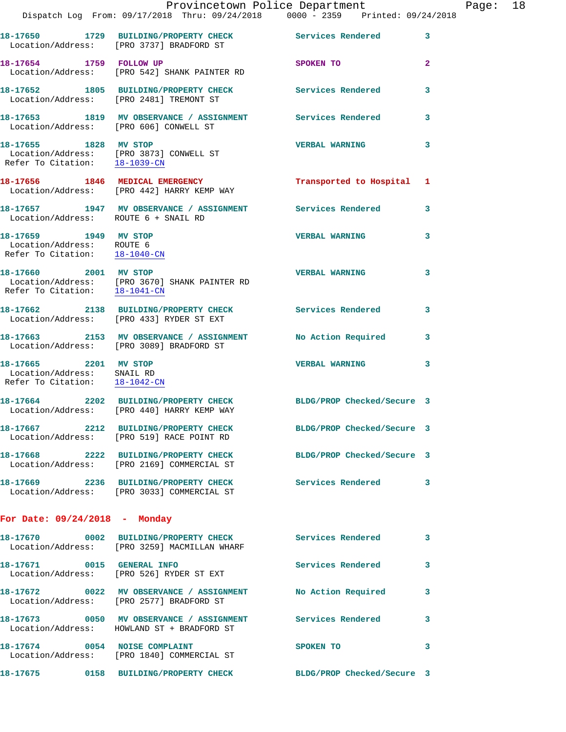|                                                                                                  |                                                                                                                | Provincetown Police Department    |                         | Page: 18 |  |
|--------------------------------------------------------------------------------------------------|----------------------------------------------------------------------------------------------------------------|-----------------------------------|-------------------------|----------|--|
|                                                                                                  | Dispatch Log From: 09/17/2018 Thru: 09/24/2018 0000 - 2359 Printed: 09/24/2018                                 |                                   |                         |          |  |
|                                                                                                  | 18-17650 1729 BUILDING/PROPERTY CHECK Services Rendered 3<br>Location/Address: [PRO 3737] BRADFORD ST          |                                   |                         |          |  |
| 18-17654 1759 FOLLOW UP                                                                          | Location/Address: [PRO 542] SHANK PAINTER RD                                                                   | SPOKEN TO AND TO A REAL PROPERTY. | $\overline{2}$          |          |  |
|                                                                                                  | 18-17652 1805 BUILDING/PROPERTY CHECK Services Rendered 3<br>Location/Address: [PRO 2481] TREMONT ST           |                                   |                         |          |  |
|                                                                                                  | 18-17653 1819 MV OBSERVANCE / ASSIGNMENT Services Rendered<br>Location/Address: [PRO 606] CONWELL ST           |                                   | $\mathbf{3}$            |          |  |
|                                                                                                  | 18-17655 1828 MV STOP<br>Location/Address: [PRO 3873] CONWELL ST<br>Refer To Citation: 18-1039-CN              | VERBAL WARNING 3                  |                         |          |  |
|                                                                                                  | 18-17656 1846 MEDICAL EMERGENCY<br>Location/Address: [PRO 442] HARRY KEMP WAY                                  | Transported to Hospital 1         |                         |          |  |
| Location/Address: ROUTE 6 + SNAIL RD                                                             | 18-17657 1947 MV OBSERVANCE / ASSIGNMENT Services Rendered 3                                                   |                                   |                         |          |  |
| 18-17659 1949 MV STOP<br>Location/Address: ROUTE 6<br>Refer To Citation: $\frac{18-1040-CM}{28}$ |                                                                                                                | <b>VERBAL WARNING</b>             | $\overline{\mathbf{3}}$ |          |  |
| 18-17660 2001 MV STOP                                                                            | Location/Address: [PRO 3670] SHANK PAINTER RD<br>Refer To Citation: $\frac{18-1041-CN}{\ }$                    | <b>VERBAL WARNING</b>             | 3                       |          |  |
|                                                                                                  | 18-17662 2138 BUILDING/PROPERTY CHECK Services Rendered 3<br>Location/Address: [PRO 433] RYDER ST EXT          |                                   |                         |          |  |
|                                                                                                  | 18-17663 2153 MV OBSERVANCE / ASSIGNMENT No Action Required 3<br>Location/Address: [PRO 3089] BRADFORD ST      |                                   |                         |          |  |
| 18-17665 2201 MV STOP<br>Location/Address: SNAIL RD<br>Refer To Citation: 18-1042-CN             |                                                                                                                | VERBAL WARNING 3                  |                         |          |  |
|                                                                                                  | 18-17664 2202 BUILDING/PROPERTY CHECK BLDG/PROP Checked/Secure 3<br>Location/Address: [PRO 440] HARRY KEMP WAY |                                   |                         |          |  |
|                                                                                                  | 18-17667 2212 BUILDING/PROPERTY CHECK BLDG/PROP Checked/Secure 3<br>Location/Address: [PRO 519] RACE POINT RD  |                                   |                         |          |  |
|                                                                                                  | 18-17668 2222 BUILDING/PROPERTY CHECK BLDG/PROP Checked/Secure 3<br>Location/Address: [PRO 2169] COMMERCIAL ST |                                   |                         |          |  |
|                                                                                                  | 18-17669 2236 BUILDING/PROPERTY CHECK Services Rendered 3<br>Location/Address: [PRO 3033] COMMERCIAL ST        |                                   |                         |          |  |
| For Date: 09/24/2018 - Monday                                                                    |                                                                                                                |                                   |                         |          |  |
|                                                                                                  | 18-17670 0002 BUILDING/PROPERTY CHECK Services Rendered 3<br>Location/Address: [PRO 3259] MACMILLAN WHARF      |                                   |                         |          |  |
|                                                                                                  | 18-17671 0015 GENERAL INFO<br>Location/Address: [PRO 526] RYDER ST EXT                                         | Services Rendered                 | $\mathbf{3}$            |          |  |
|                                                                                                  | 18-17672 0022 MV OBSERVANCE / ASSIGNMENT No Action Required 3<br>Location/Address: [PRO 2577] BRADFORD ST      |                                   |                         |          |  |
|                                                                                                  | 18-17673 0050 MV OBSERVANCE / ASSIGNMENT Services Rendered<br>Location/Address: HOWLAND ST + BRADFORD ST       |                                   | 3                       |          |  |
| 18-17674 0054 NOISE COMPLAINT                                                                    | Location/Address: [PRO 1840] COMMERCIAL ST                                                                     | SPOKEN TO                         | 3                       |          |  |
|                                                                                                  |                                                                                                                | BLDG/PROP Checked/Secure 3        |                         |          |  |